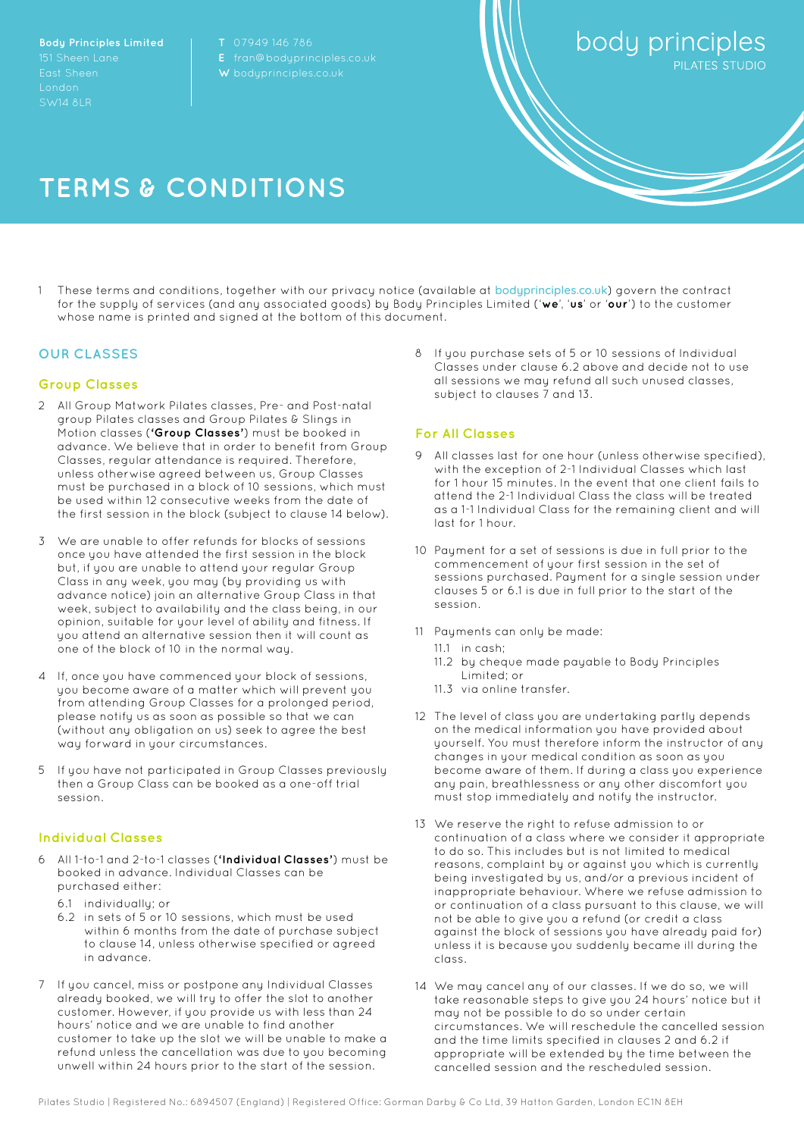**Body Principles Limited** SW14 8LR

**E** [fran@bodyprinciples.co.uk](mailto:fran@bodyprinciples.co.uk)

body principles

# **TERMS & CONDITIONS**

1 These terms and conditions, together with our privacy notice (available at [bodyprinciples.co.uk](http://bodyprinciples.co.uk/)) govern the contract for the supply of services (and any associated goods) by Body Principles Limited ('**we**', '**us**' or '**our**') to the customer whose name is printed and signed at the bottom of this document.

## **OUR CLASSES**

## **Group Classes**

- 2 All Group Matwork Pilates classes, Pre- and Post-natal group Pilates classes and Group Pilates & Slings in Motion classes (**'Group Classes'**) must be booked in advance. We believe that in order to benefit from Group Classes, regular attendance is required. Therefore, unless otherwise agreed between us, Group Classes must be purchased in a block of 10 sessions, which must be used within 12 consecutive weeks from the date of the first session in the block (subject to clause 14 below).
- 3 We are unable to offer refunds for blocks of sessions once you have attended the first session in the block but, if you are unable to attend your regular Group Class in any week, you may (by providing us with advance notice) join an alternative Group Class in that week, subject to availability and the class being, in our opinion, suitable for your level of ability and fitness. If you attend an alternative session then it will count as one of the block of 10 in the normal way.
- 4 If, once you have commenced your block of sessions, you become aware of a matter which will prevent you from attending Group Classes for a prolonged period, please notify us as soon as possible so that we can (without any obligation on us) seek to agree the best way forward in your circumstances.
- 5 If you have not participated in Group Classes previously then a Group Class can be booked as a one-off trial session.

#### **Individual Classes**

- 6 All 1-to-1 and 2-to-1 classes (**'Individual Classes'**) must be booked in advance. Individual Classes can be purchased either:
	- 6.1 individually; or
	- 6.2 in sets of 5 or 10 sessions, which must be used within 6 months from the date of purchase subject to clause 14, unless otherwise specified or agreed in advance.
- 7 If you cancel, miss or postpone any Individual Classes already booked, we will try to offer the slot to another customer. However, if you provide us with less than 24 hours' notice and we are unable to find another customer to take up the slot we will be unable to make a refund unless the cancellation was due to you becoming unwell within 24 hours prior to the start of the session.

8 If you purchase sets of 5 or 10 sessions of Individual Classes under clause 6.2 above and decide not to use all sessions we may refund all such unused classes, subject to clauses 7 and 13.

#### **For All Classes**

- All classes last for one hour (unless otherwise specified), with the exception of 2-1 Individual Classes which last for 1 hour 15 minutes. In the event that one client fails to attend the 2-1 Individual Class the class will be treated as a 1-1 Individual Class for the remaining client and will last for 1 hour.
- 10 Payment for a set of sessions is due in full prior to the commencement of your first session in the set of sessions purchased. Paument for a single session under clauses 5 or 6.1 is due in full prior to the start of the session.
- 11 Payments can only be made:
	- 11.1 in cash;
	- 11.2 by cheque made payable to Body Principles Limited; or
	- 11.3 via online transfer.
- 12 The level of class you are undertaking partly depends on the medical information you have provided about yourself. You must therefore inform the instructor of any changes in your medical condition as soon as you become aware of them. If during a class you experience any pain, breathlessness or any other discomfort you must stop immediately and notify the instructor.
- 13 We reserve the right to refuse admission to or continuation of a class where we consider it appropriate to do so. This includes but is not limited to medical reasons, complaint by or against you which is currently being investigated by us, and/or a previous incident of inappropriate behaviour. Where we refuse admission to or continuation of a class pursuant to this clause, we will not be able to give you a refund (or credit a class against the block of sessions you have already paid for) unless it is because you suddenly became ill during the class.
- 14 We may cancel any of our classes. If we do so, we will take reasonable steps to give you 24 hours' notice but it may not be possible to do so under certain circumstances. We will reschedule the cancelled session and the time limits specified in clauses 2 and 6.2 if appropriate will be extended by the time between the cancelled session and the rescheduled session.